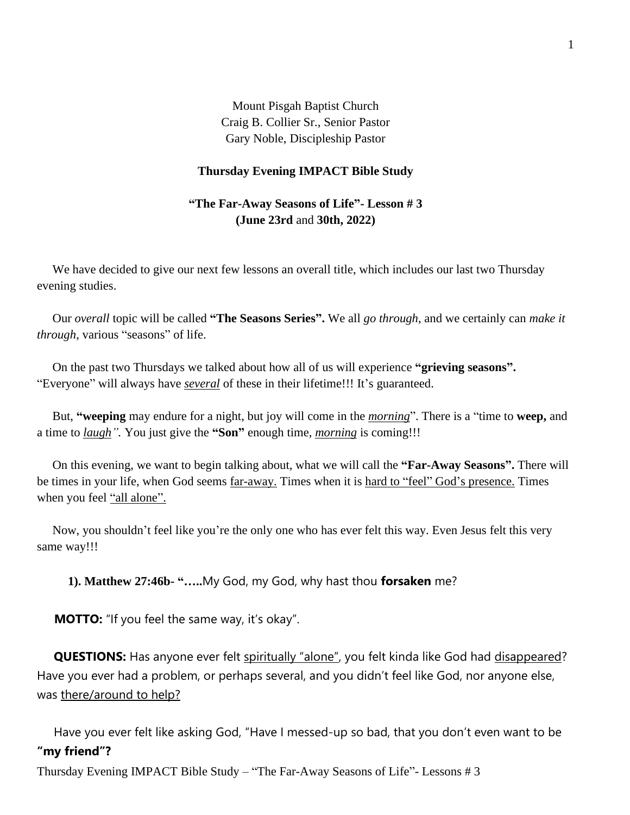Mount Pisgah Baptist Church Craig B. Collier Sr., Senior Pastor Gary Noble, Discipleship Pastor

## **Thursday Evening IMPACT Bible Study**

## **"The Far-Away Seasons of Life"- Lesson # 3 (June 23rd** and **30th, 2022)**

We have decided to give our next few lessons an overall title, which includes our last two Thursday evening studies.

 Our *overall* topic will be called **"The Seasons Series".** We all *go through*, and we certainly can *make it through*, various "seasons" of life.

 On the past two Thursdays we talked about how all of us will experience **"grieving seasons".** "Everyone" will always have *several* of these in their lifetime!!! It's guaranteed.

 But, **"weeping** may endure for a night, but joy will come in the *morning*". There is a "time to **weep,** and a time to *laugh".* You just give the **"Son"** enough time, *morning* is coming!!!

 On this evening, we want to begin talking about, what we will call the **"Far-Away Seasons".** There will be times in your life, when God seems far-away. Times when it is hard to "feel" God's presence. Times when you feel "all alone".

 Now, you shouldn't feel like you're the only one who has ever felt this way. Even Jesus felt this very same way!!!

**1). Matthew 27:46b- "…..**My God, my God, why hast thou **forsaken** me?

**MOTTO:** "If you feel the same way, it's okay".

 **QUESTIONS:** Has anyone ever felt spiritually "alone", you felt kinda like God had disappeared? Have you ever had a problem, or perhaps several, and you didn't feel like God, nor anyone else, was there/around to help?

 Have you ever felt like asking God, "Have I messed-up so bad, that you don't even want to be **"my friend"?**

Thursday Evening IMPACT Bible Study – "The Far-Away Seasons of Life"- Lessons # 3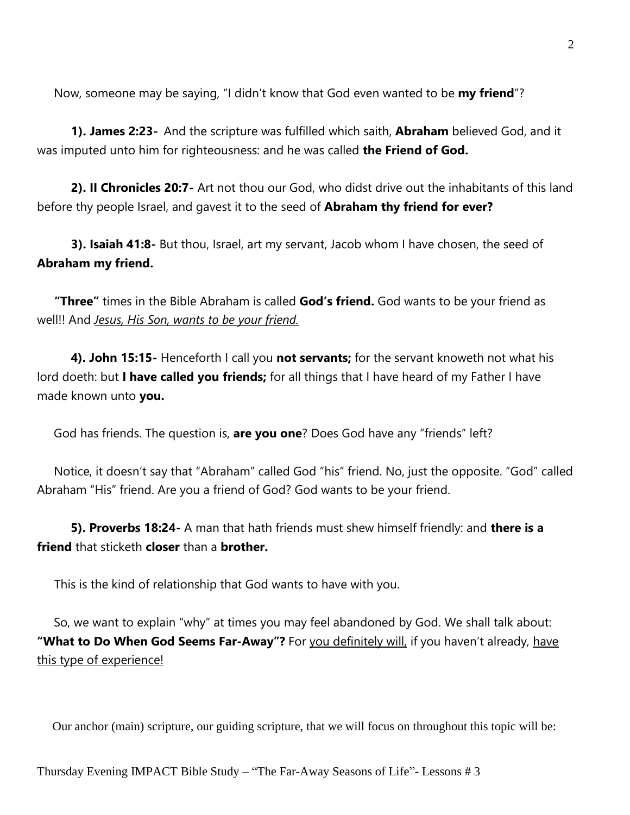Now, someone may be saying, "I didn't know that God even wanted to be **my friend**"?

 **1). James 2:23-** And the scripture was fulfilled which saith, **Abraham** believed God, and it was imputed unto him for righteousness: and he was called **the Friend of God.**

 **2). II Chronicles 20:7-** Art not thou our God, who didst drive out the inhabitants of this land before thy people Israel, and gavest it to the seed of **Abraham thy friend for ever?**

 **3). Isaiah 41:8-** But thou, Israel, art my servant, Jacob whom I have chosen, the seed of **Abraham my friend.**

 **"Three"** times in the Bible Abraham is called **God's friend.** God wants to be your friend as well!! And *Jesus, His Son, wants to be your friend.*

 **4). John 15:15-** Henceforth I call you **not servants;** for the servant knoweth not what his lord doeth: but **I have called you friends;** for all things that I have heard of my Father I have made known unto **you.**

God has friends. The question is, **are you one**? Does God have any "friends" left?

 Notice, it doesn't say that "Abraham" called God "his" friend. No, just the opposite. "God" called Abraham "His" friend. Are you a friend of God? God wants to be your friend.

 **5). Proverbs 18:24-** A man that hath friends must shew himself friendly: and **there is a friend** that sticketh **closer** than a **brother.**

This is the kind of relationship that God wants to have with you.

 So, we want to explain "why" at times you may feel abandoned by God. We shall talk about: **"What to Do When God Seems Far-Away"?** For you definitely will, if you haven't already, have this type of experience!

Our anchor (main) scripture, our guiding scripture, that we will focus on throughout this topic will be: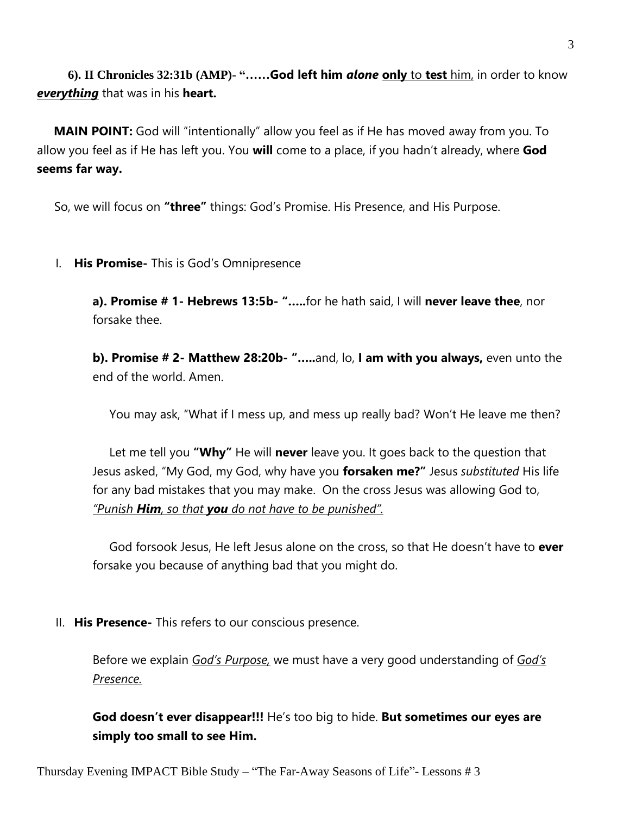**6). II Chronicles 32:31b (AMP)- "……God left him** *alone* **only** to **test** him, in order to know *everything* that was in his **heart.**

 **MAIN POINT:** God will "intentionally" allow you feel as if He has moved away from you. To allow you feel as if He has left you. You **will** come to a place, if you hadn't already, where **God seems far way.** 

So, we will focus on **"three"** things: God's Promise. His Presence, and His Purpose.

I. **His Promise-** This is God's Omnipresence

**a). Promise # 1- Hebrews 13:5b- "…..**for he hath said, I will **never leave thee**, nor forsake thee.

**b). Promise # 2- Matthew 28:20b- "…..**and, lo, **I am with you always,** even unto the end of the world. Amen.

You may ask, "What if I mess up, and mess up really bad? Won't He leave me then?

 Let me tell you **"Why"** He will **never** leave you. It goes back to the question that Jesus asked, "My God, my God, why have you **forsaken me?"** Jesus *substituted* His life for any bad mistakes that you may make. On the cross Jesus was allowing God to, *"Punish Him, so that you do not have to be punished".* 

 God forsook Jesus, He left Jesus alone on the cross, so that He doesn't have to **ever**  forsake you because of anything bad that you might do.

II. **His Presence-** This refers to our conscious presence.

Before we explain *God's Purpose,* we must have a very good understanding of *God's Presence.* 

**God doesn't ever disappear!!!** He's too big to hide. **But sometimes our eyes are simply too small to see Him.**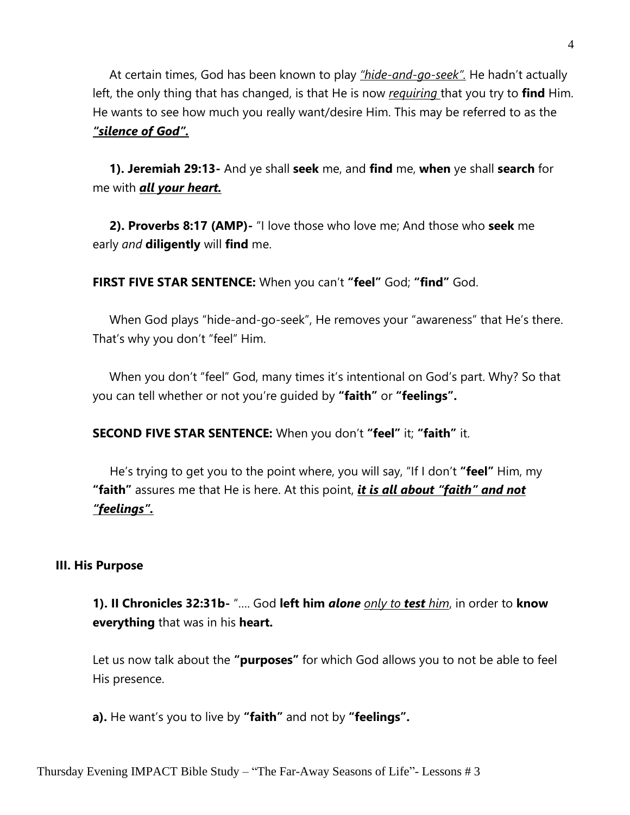At certain times, God has been known to play *"hide-and-go-seek".* He hadn't actually left, the only thing that has changed, is that He is now *requiring* that you try to **find** Him. He wants to see how much you really want/desire Him. This may be referred to as the *"silence of God".*

 **1). Jeremiah 29:13-** And ye shall **seek** me, and **find** me, **when** ye shall **search** for me with *all your heart.*

 **2). Proverbs 8:17 (AMP)-** "I love those who love me; And those who **seek** me early *and* **diligently** will **find** me.

**FIRST FIVE STAR SENTENCE:** When you can't **"feel"** God; **"find"** God.

 When God plays "hide-and-go-seek", He removes your "awareness" that He's there. That's why you don't "feel" Him.

 When you don't "feel" God, many times it's intentional on God's part. Why? So that you can tell whether or not you're guided by **"faith"** or **"feelings".**

**SECOND FIVE STAR SENTENCE:** When you don't **"feel"** it; **"faith"** it.

He's trying to get you to the point where, you will say, "If I don't **"feel"** Him, my **"faith"** assures me that He is here. At this point, *it is all about "faith" and not "feelings".* 

## **III. His Purpose**

**1). II Chronicles 32:31b-** "…. God **left him** *alone only to test him*, in order to **know everything** that was in his **heart.**

Let us now talk about the **"purposes"** for which God allows you to not be able to feel His presence.

**a).** He want's you to live by **"faith"** and not by **"feelings".**